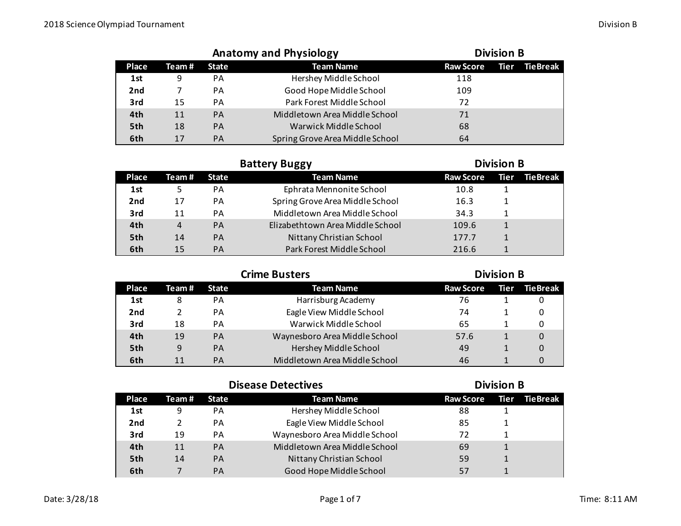|                 |       | <b>Anatomy and Physiology</b> | <b>Division B</b>               |                  |      |                 |
|-----------------|-------|-------------------------------|---------------------------------|------------------|------|-----------------|
| Place           | Team# | <b>State</b>                  | <b>Team Name</b>                | <b>Raw Score</b> | Tier | <b>TieBreak</b> |
| 1st             | 9     | PА                            | Hershey Middle School           | 118              |      |                 |
| 2 <sub>nd</sub> |       | PА                            | Good Hope Middle School         | 109              |      |                 |
| 3rd             | 15    | PA                            | Park Forest Middle School       | 72               |      |                 |
| 4th             | 11    | <b>PA</b>                     | Middletown Area Middle School   | 71               |      |                 |
| 5th             | 18    | <b>PA</b>                     | Warwick Middle School           | 68               |      |                 |
| 6th             | 17    | <b>PA</b>                     | Spring Grove Area Middle School | 64               |      |                 |

|                 | <b>Battery Buggy</b> |              |                                  |                  | <b>Division B</b> |                 |  |  |
|-----------------|----------------------|--------------|----------------------------------|------------------|-------------------|-----------------|--|--|
| Place           | Team #               | <b>State</b> | <b>Team Name</b>                 | <b>Raw Score</b> | <b>Tier</b>       | <b>TieBreak</b> |  |  |
| 1st             |                      | PА           | Ephrata Mennonite School         | 10.8             |                   |                 |  |  |
| 2 <sub>nd</sub> | 17                   | PА           | Spring Grove Area Middle School  | 16.3             |                   |                 |  |  |
| 3rd             | 11                   | PA           | Middletown Area Middle School    | 34.3             |                   |                 |  |  |
| 4th             | 4                    | <b>PA</b>    | Elizabethtown Area Middle School | 109.6            |                   |                 |  |  |
| 5th             | 14                   | <b>PA</b>    | Nittany Christian School         | 177.7            |                   |                 |  |  |
| 6th             | 15                   | <b>PA</b>    | Park Forest Middle School        | 216.6            |                   |                 |  |  |

| <b>Crime Busters</b> |        |              |                               | <b>Division B</b> |  |               |  |
|----------------------|--------|--------------|-------------------------------|-------------------|--|---------------|--|
| Place                | Team # | <b>State</b> | <b>Team Name</b>              | <b>Raw Score</b>  |  | Tier TieBreak |  |
| 1st                  | 8      | PА           | Harrisburg Academy            | 76                |  |               |  |
| 2 <sub>nd</sub>      |        | PA           | Eagle View Middle School      | 74                |  |               |  |
| 3rd                  | 18     | PA           | Warwick Middle School         | 65                |  |               |  |
| 4th                  | 19     | <b>PA</b>    | Waynesboro Area Middle School | 57.6              |  | 0             |  |
| 5th                  | 9      | PA           | Hershey Middle School         | 49                |  | $\Omega$      |  |
| 6th                  | 11     | PA           | Middletown Area Middle School | 46                |  |               |  |

|       | <b>Disease Detectives</b> |              |                               |                  | <b>Division B</b> |          |  |  |
|-------|---------------------------|--------------|-------------------------------|------------------|-------------------|----------|--|--|
| Place | Team #                    | <b>State</b> | <b>Team Name</b>              | <b>Raw Score</b> | Tier              | TieBreak |  |  |
| 1st   | 9                         | PA           | Hershey Middle School         | 88               |                   |          |  |  |
| 2nd   |                           | <b>PA</b>    | Eagle View Middle School      | 85               |                   |          |  |  |
| 3rd   | 19                        | PA           | Waynesboro Area Middle School | 72               |                   |          |  |  |
| 4th   | 11                        | <b>PA</b>    | Middletown Area Middle School | 69               |                   |          |  |  |
| 5th   | 14                        | <b>PA</b>    | Nittany Christian School      | 59               |                   |          |  |  |
| 6th   |                           | <b>PA</b>    | Good Hope Middle School       | 57               |                   |          |  |  |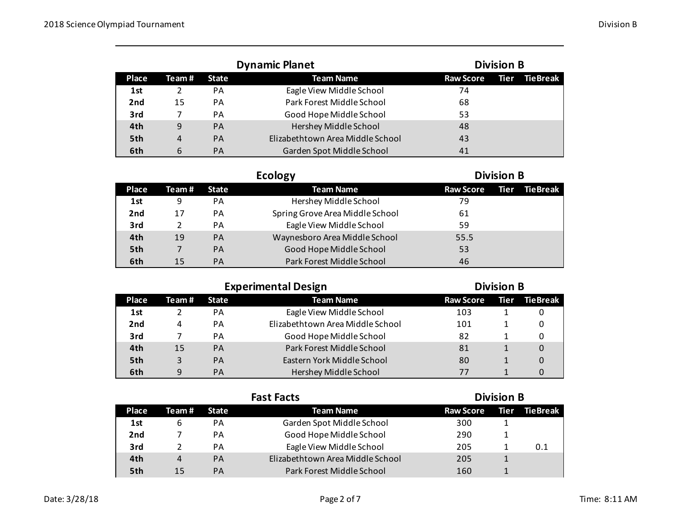|                 |       | <b>Dynamic Planet</b> | <b>Division B</b>                |                  |      |          |
|-----------------|-------|-----------------------|----------------------------------|------------------|------|----------|
| Place           | Team# | <b>State</b>          | <b>Team Name</b>                 | <b>Raw Score</b> | Tier | TieBreak |
| 1st             | 2     | PА                    | Eagle View Middle School         | 74               |      |          |
| 2 <sub>nd</sub> | 15    | PA                    | Park Forest Middle School        | 68               |      |          |
| 3rd             |       | PА                    | Good Hope Middle School          | 53               |      |          |
| 4th             | 9     | <b>PA</b>             | Hershey Middle School            | 48               |      |          |
| 5th             | 4     | <b>PA</b>             | Elizabethtown Area Middle School | 43               |      |          |
| 6th             | 6     | <b>PA</b>             | Garden Spot Middle School        | 41               |      |          |

|                 |        |              | <b>Division B</b>               |                  |      |          |
|-----------------|--------|--------------|---------------------------------|------------------|------|----------|
| <b>Place</b>    | Team # | <b>State</b> | <b>Team Name</b>                | <b>Raw Score</b> | Tier | TieBreak |
| 1st             | 9      | PA           | Hershey Middle School           | 79               |      |          |
| 2 <sub>nd</sub> | 17     | PA           | Spring Grove Area Middle School | 61               |      |          |
| 3rd             |        | PA           | Eagle View Middle School        | 59               |      |          |
| 4th             | 19     | PA           | Waynesboro Area Middle School   | 55.5             |      |          |
| 5th             |        | PA           | Good Hope Middle School         | 53               |      |          |
| 6th             | 15     | PA           | Park Forest Middle School       | 46               |      |          |

|                 |        | <b>Experimental Design</b> | <b>Division B</b>                |                  |      |          |
|-----------------|--------|----------------------------|----------------------------------|------------------|------|----------|
| Place           | Team # | <b>State</b>               | <b>Team Name</b>                 | <b>Raw Score</b> | Tier | TieBreak |
| 1st             |        | PА                         | Eagle View Middle School         | 103              |      | 0        |
| 2 <sub>nd</sub> | 4      | PA                         | Elizabethtown Area Middle School | 101              |      | 0        |
| 3rd             |        | PA                         | Good Hope Middle School          | 82               |      | 0        |
| 4th             | 15     | PA                         | Park Forest Middle School        | 81               |      | $\Omega$ |
| 5th             | 3      | PA                         | Eastern York Middle School       | 80               |      | 0        |
| 6th             | 9      | <b>PA</b>                  | Hershey Middle School            | 77               |      | 0        |

|                 | <b>Fast Facts</b> |              |                                  |                  |      | <b>Division B</b> |  |  |  |
|-----------------|-------------------|--------------|----------------------------------|------------------|------|-------------------|--|--|--|
| <b>Place</b>    | Team #            | <b>State</b> | <b>Team Name</b>                 | <b>Raw Score</b> | Tier | <b>TieBreak</b>   |  |  |  |
| 1st             | 6                 | PА           | Garden Spot Middle School        | 300              |      |                   |  |  |  |
| 2 <sub>nd</sub> |                   | PA           | Good Hope Middle School          | 290              |      |                   |  |  |  |
| 3rd             |                   | PА           | Eagle View Middle School         | 205              |      | 0.1               |  |  |  |
| 4th             | 4                 | PA           | Elizabethtown Area Middle School | 205              |      |                   |  |  |  |
| 5th             | 15                | PA           | Park Forest Middle School        | 160              |      |                   |  |  |  |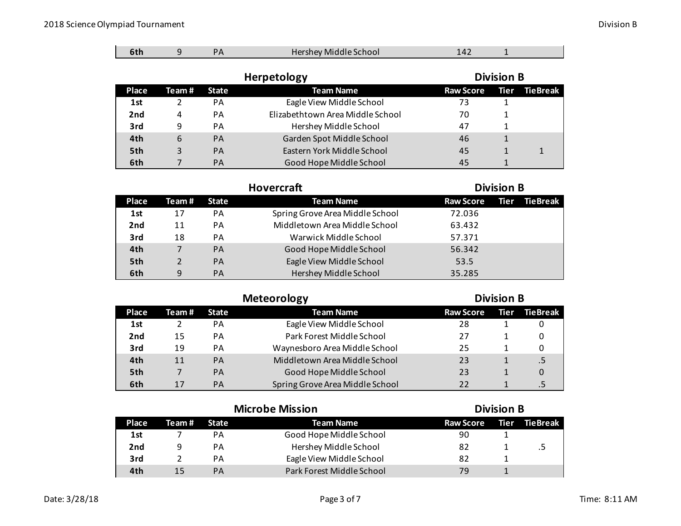$\blacksquare$ 

 $\sim$ 

| 6th             | 9      | <b>PA</b>    | Hershey Middle School            | 142              |      |                 |
|-----------------|--------|--------------|----------------------------------|------------------|------|-----------------|
|                 |        |              | <b>Division B</b>                |                  |      |                 |
| Place           | Team # | <b>State</b> | <b>Team Name</b>                 | <b>Raw Score</b> | Tier | <b>TieBreak</b> |
| 1st             |        | <b>PA</b>    | Eagle View Middle School         | 73               |      |                 |
| 2 <sub>nd</sub> | 4      | <b>PA</b>    | Elizabethtown Area Middle School | 70               |      |                 |
| 3rd             | 9      | PA           | Hershey Middle School            | 47               |      |                 |
| 4th             | 6      | <b>PA</b>    | Garden Spot Middle School        | 46               | 1    |                 |
| 5th             | 3      | <b>PA</b>    | Eastern York Middle School       | 45               |      | 1               |
| 6th             |        | <b>PA</b>    | Good Hope Middle School          | 45               |      |                 |

| <b>Hovercraft</b> |        |              |                                 | <b>Division B</b> |  |               |
|-------------------|--------|--------------|---------------------------------|-------------------|--|---------------|
| Place             | Team # | <b>State</b> | <b>Team Name</b>                | <b>Raw Score</b>  |  | Tier TieBreak |
| 1st               | 17     | PA           | Spring Grove Area Middle School | 72.036            |  |               |
| 2 <sub>nd</sub>   | 11     | PА           | Middletown Area Middle School   | 63.432            |  |               |
| 3rd               | 18     | PA           | Warwick Middle School           | 57.371            |  |               |
| 4th               | 7      | PA           | Good Hope Middle School         | 56.342            |  |               |
| 5th               |        | PA           | Eagle View Middle School        | 53.5              |  |               |
| 6th               | 9      | PA           | Hershey Middle School           | 35.285            |  |               |

|                 | <b>Division B</b> |              |                                 |                  |  |               |
|-----------------|-------------------|--------------|---------------------------------|------------------|--|---------------|
| Place           | Team#             | <b>State</b> | <b>Team Name</b>                | <b>Raw Score</b> |  | Tier TieBreak |
| 1st             |                   | PА           | Eagle View Middle School        | 28               |  |               |
| 2 <sub>nd</sub> | 15                | PA           | Park Forest Middle School       | 27               |  |               |
| 3rd             | 19                | PA           | Waynesboro Area Middle School   | 25               |  |               |
| 4th             | 11                | <b>PA</b>    | Middletown Area Middle School   | 23               |  |               |
| 5th             |                   | <b>PA</b>    | Good Hope Middle School         | 23               |  | 0             |
| 6th             | 17                | PA           | Spring Grove Area Middle School | 22               |  |               |

|                 | <b>Microbe Mission</b> |    |                           |                  | <b>Division B</b> |          |  |  |
|-----------------|------------------------|----|---------------------------|------------------|-------------------|----------|--|--|
| Place           | Team# State            |    | Team Name                 | <b>Raw Score</b> | l Tier I          | TieBreak |  |  |
| 1st             |                        | PА | Good Hope Middle School   | 90               |                   |          |  |  |
| 2 <sub>nd</sub> | 9                      | PА | Hershey Middle School     | 82               |                   |          |  |  |
| 3rd             |                        | PА | Eagle View Middle School  | 82               |                   |          |  |  |
| 4th             | 15                     | PA | Park Forest Middle School | 79               |                   |          |  |  |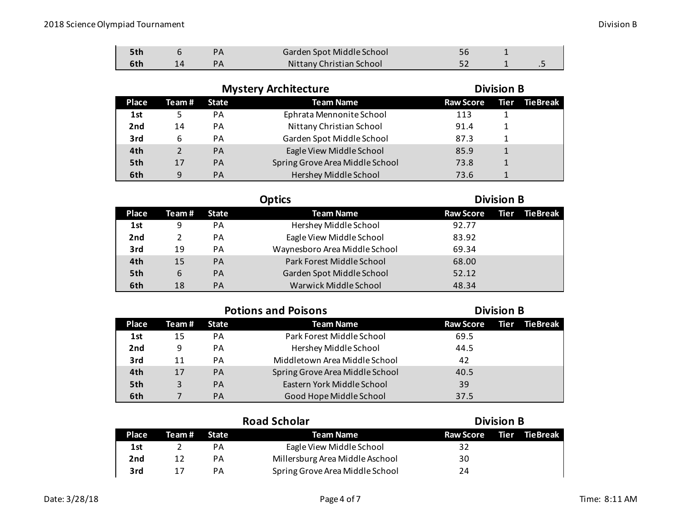|  | Garden Spot Middle School |  |  |
|--|---------------------------|--|--|
|  | Nittany Christian School  |  |  |

|                 |               |              | <b>Mystery Architecture</b>     | <b>Division B</b> |  |               |  |
|-----------------|---------------|--------------|---------------------------------|-------------------|--|---------------|--|
| <b>Place</b>    | Team #        | <b>State</b> | <b>Team Name</b>                | <b>Raw Score</b>  |  | Tier TieBreak |  |
| 1st             |               | PA           | Ephrata Mennonite School        | 113               |  |               |  |
| 2 <sub>nd</sub> | 14            | PА           | Nittany Christian School        | 91.4              |  |               |  |
| 3rd             | 6             | PА           | Garden Spot Middle School       | 87.3              |  |               |  |
| 4th             | $\mathcal{D}$ | <b>PA</b>    | Eagle View Middle School        | 85.9              |  |               |  |
| 5th             | 17            | PA           | Spring Grove Area Middle School | 73.8              |  |               |  |
| 6th             | 9             | <b>PA</b>    | Hershey Middle School           | 73.6              |  |               |  |

|                 |        |           | Optics                        | <b>Division B</b> |      |          |
|-----------------|--------|-----------|-------------------------------|-------------------|------|----------|
| Place           | Team # | State     | <b>Team Name</b>              | <b>Raw Score</b>  | Tier | TieBreak |
| 1st             | 9      | PA        | Hershey Middle School         | 92.77             |      |          |
| 2 <sub>nd</sub> |        | PA        | Eagle View Middle School      | 83.92             |      |          |
| 3rd             | 19     | PA        | Waynesboro Area Middle School | 69.34             |      |          |
| 4th             | 15     | <b>PA</b> | Park Forest Middle School     | 68.00             |      |          |
| 5th             | 6      | <b>PA</b> | Garden Spot Middle School     | 52.12             |      |          |
| 6th             | 18     | <b>PA</b> | Warwick Middle School         | 48.34             |      |          |

|  |  |  |  | <b>Potions and Poisons</b> |
|--|--|--|--|----------------------------|
|--|--|--|--|----------------------------|

## **Division B**

| <b>Place</b> | Team # | <b>State</b> | <b>Team Name</b>                | Raw Score Tier | <b>← TieBreak</b> \ |
|--------------|--------|--------------|---------------------------------|----------------|---------------------|
| 1st          | 15     | PА           | Park Forest Middle School       | 69.5           |                     |
| 2nd          | 9      | PА           | Hershey Middle School           | 44.5           |                     |
| 3rd          | 11     | PA           | Middletown Area Middle School   | 42             |                     |
| 4th          | 17     | <b>PA</b>    | Spring Grove Area Middle School | 40.5           |                     |
| 5th          | 3      | <b>PA</b>    | Eastern York Middle School      | 39             |                     |
| 6th          |        | <b>PA</b>    | Good Hope Middle School         | 37.5           |                     |

|       |             |    | <b>Road Scholar</b>             | <b>Division B</b><br><b>TieBreak</b><br>Raw Score Tier |  |  |
|-------|-------------|----|---------------------------------|--------------------------------------------------------|--|--|
| Place | Team# State |    | Team Name                       |                                                        |  |  |
| 1st   |             | PА | Eagle View Middle School        | 32                                                     |  |  |
| 2nd   | 12          | PА | Millersburg Area Middle Aschool | 30                                                     |  |  |
| 3rd   | 17          | PA | Spring Grove Area Middle School | 24                                                     |  |  |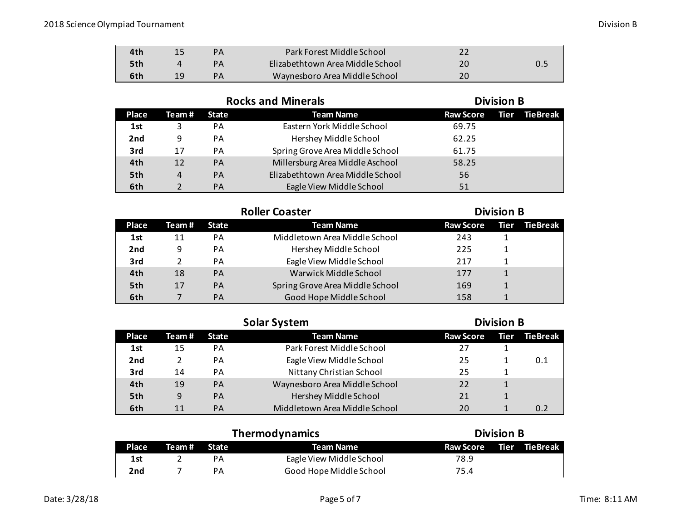| 4th | PА | Park Forest Middle School        |    |  |
|-----|----|----------------------------------|----|--|
| 5th | PА | Elizabethtown Area Middle School |    |  |
| 6th | PА | Waynesboro Area Middle School    | 20 |  |

|                 |        | <b>Rocks and Minerals</b> |                                  | <b>Division B</b> |  |               |
|-----------------|--------|---------------------------|----------------------------------|-------------------|--|---------------|
| Place           | Team # | <b>State</b>              | <b>Team Name</b>                 | <b>Raw Score</b>  |  | Tier TieBreak |
| 1st             | 3      | PA                        | Eastern York Middle School       | 69.75             |  |               |
| 2 <sub>nd</sub> | 9      | PA                        | Hershey Middle School            | 62.25             |  |               |
| 3rd             | 17     | PA                        | Spring Grove Area Middle School  | 61.75             |  |               |
| 4th             | 12     | PA                        | Millersburg Area Middle Aschool  | 58.25             |  |               |
| 5th             | 4      | PA                        | Elizabethtown Area Middle School | 56                |  |               |
| 6th             |        | PА                        | Eagle View Middle School         | 51                |  |               |

|              | <b>Roller Coaster</b> |              |                                 |                  | <b>Division B</b> |          |  |
|--------------|-----------------------|--------------|---------------------------------|------------------|-------------------|----------|--|
| <b>Place</b> | Team #                | <b>State</b> | <b>Team Name</b>                | <b>Raw Score</b> | Tier              | TieBreak |  |
| 1st          | 11                    | PA           | Middletown Area Middle School   | 243              |                   |          |  |
| 2nd          | 9                     | PA           | Hershey Middle School           | 225              |                   |          |  |
| 3rd          |                       | PA           | Eagle View Middle School        | 217              |                   |          |  |
| 4th          | 18                    | PA           | Warwick Middle School           | 177              |                   |          |  |
| 5th          | 17                    | PA           | Spring Grove Area Middle School | 169              |                   |          |  |
| 6th          |                       | PA           | Good Hope Middle School         | 158              |                   |          |  |

|                 |        |              | <b>Solar System</b>           | <b>Division B</b> |  |               |
|-----------------|--------|--------------|-------------------------------|-------------------|--|---------------|
| <b>Place</b>    | Team # | <b>State</b> | <b>Team Name</b>              | <b>Raw Score</b>  |  | Tier TieBreak |
| 1st             | 15     | PА           | Park Forest Middle School     | 27                |  |               |
| 2 <sub>nd</sub> | 2      | PA           | Eagle View Middle School      | 25                |  | 0.1           |
| 3rd             | 14     | PА           | Nittany Christian School      | 25                |  |               |
| 4th             | 19     | <b>PA</b>    | Waynesboro Area Middle School | 22                |  |               |
| 5th             | 9      | <b>PA</b>    | Hershey Middle School         | 21                |  |               |
| 6th             | 11     | PА           | Middletown Area Middle School | 20                |  |               |

|                 |        | Thermodynamics | <b>Division B</b>        |                         |  |
|-----------------|--------|----------------|--------------------------|-------------------------|--|
| Place           | Team # | <b>State</b>   | Team Name                | Raw Score Tier TieBreak |  |
| 1st             |        | PА             | Eagle View Middle School | 78.9                    |  |
| 2 <sub>nd</sub> |        | PА             | Good Hope Middle School  | 75.4                    |  |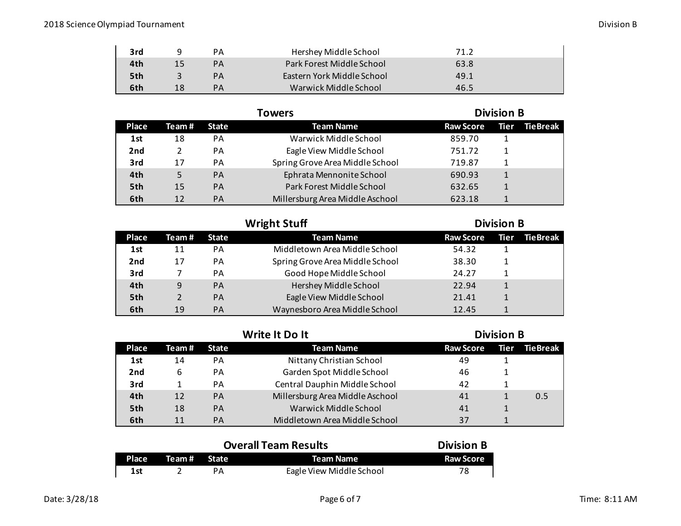| 3rd | q  | PА | Hershey Middle School      | 71.2 |  |
|-----|----|----|----------------------------|------|--|
| 4th | 15 | PА | Park Forest Middle School  | 63.8 |  |
| 5th |    | PА | Eastern York Middle School | 49.1 |  |
| 6th | 18 | PА | Warwick Middle School      | 46.5 |  |

|                 |               | Towers       |                                 |                  | <b>Division B</b> |          |  |
|-----------------|---------------|--------------|---------------------------------|------------------|-------------------|----------|--|
| Place           | Team #        | <b>State</b> | <b>Team Name</b>                | <b>Raw Score</b> | Tier              | TieBreak |  |
| 1st             | 18            | PА           | Warwick Middle School           | 859.70           |                   |          |  |
| 2 <sub>nd</sub> | $\mathfrak z$ | PА           | Eagle View Middle School        | 751.72           |                   |          |  |
| 3rd             | 17            | PA           | Spring Grove Area Middle School | 719.87           |                   |          |  |
| 4th             | 5             | PA           | Ephrata Mennonite School        | 690.93           |                   |          |  |
| 5th             | 15            | PA           | Park Forest Middle School       | 632.65           |                   |          |  |
| 6th             | 12            | <b>PA</b>    | Millersburg Area Middle Aschool | 623.18           |                   |          |  |

|       |               |              | <b>Wright Stuff</b>             | <b>Division B</b> |      |                 |
|-------|---------------|--------------|---------------------------------|-------------------|------|-----------------|
| Place | Team#         | <b>State</b> | <b>Team Name</b>                | <b>Raw Score</b>  | Tier | <b>TieBreak</b> |
| 1st   | 11            | <b>PA</b>    | Middletown Area Middle School   | 54.32             |      |                 |
| 2nd   | 17            | PA           | Spring Grove Area Middle School | 38.30             |      |                 |
| 3rd   |               | PA           | Good Hope Middle School         | 24.27             |      |                 |
| 4th   | 9             | <b>PA</b>    | Hershey Middle School           | 22.94             |      |                 |
| 5th   | $\mathcal{P}$ | <b>PA</b>    | Eagle View Middle School        | 21.41             |      |                 |
| 6th   | 19            | PA           | Waynesboro Area Middle School   | 12.45             |      |                 |

|                 |        |              | Write It Do It                  | <b>Division B</b> |      |          |
|-----------------|--------|--------------|---------------------------------|-------------------|------|----------|
| <b>Place</b>    | Team # | <b>State</b> | <b>Team Name</b>                | <b>Raw Score</b>  | Tier | TieBreak |
| 1st             | 14     | PA           | Nittany Christian School        | 49                |      |          |
| 2 <sub>nd</sub> | 6      | <b>PA</b>    | Garden Spot Middle School       | 46                |      |          |
| 3rd             |        | PA           | Central Dauphin Middle School   | 42                |      |          |
| 4th             | 12     | <b>PA</b>    | Millersburg Area Middle Aschool | 41                |      | 0.5      |
| 5th             | 18     | <b>PA</b>    | Warwick Middle School           | 41                |      |          |
| 6th             | 11     | PА           | Middletown Area Middle School   | 37                |      |          |

|              |             | <b>Overall Team Results</b> | <b>Division B</b> |
|--------------|-------------|-----------------------------|-------------------|
| <b>Place</b> | Team# State | Team Name                   | <b>Raw Score</b>  |
| 1st          |             | Eagle View Middle School    | 78                |